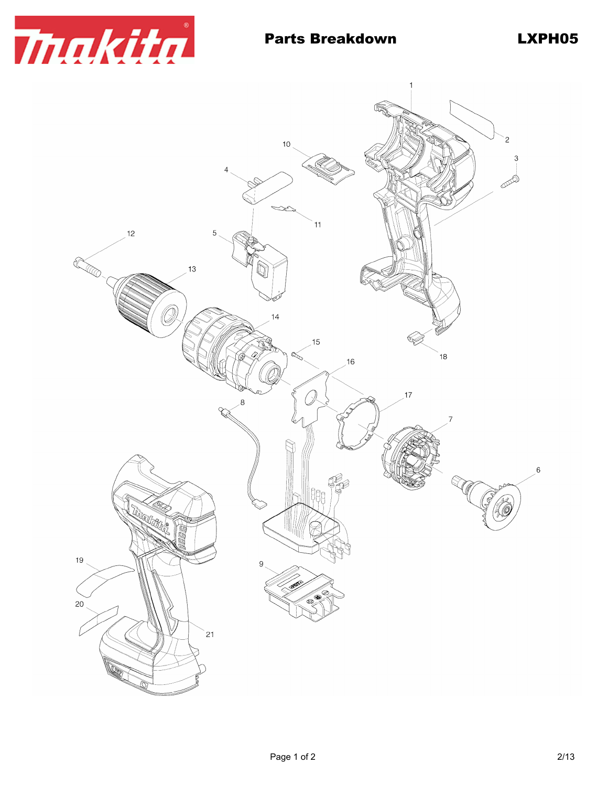